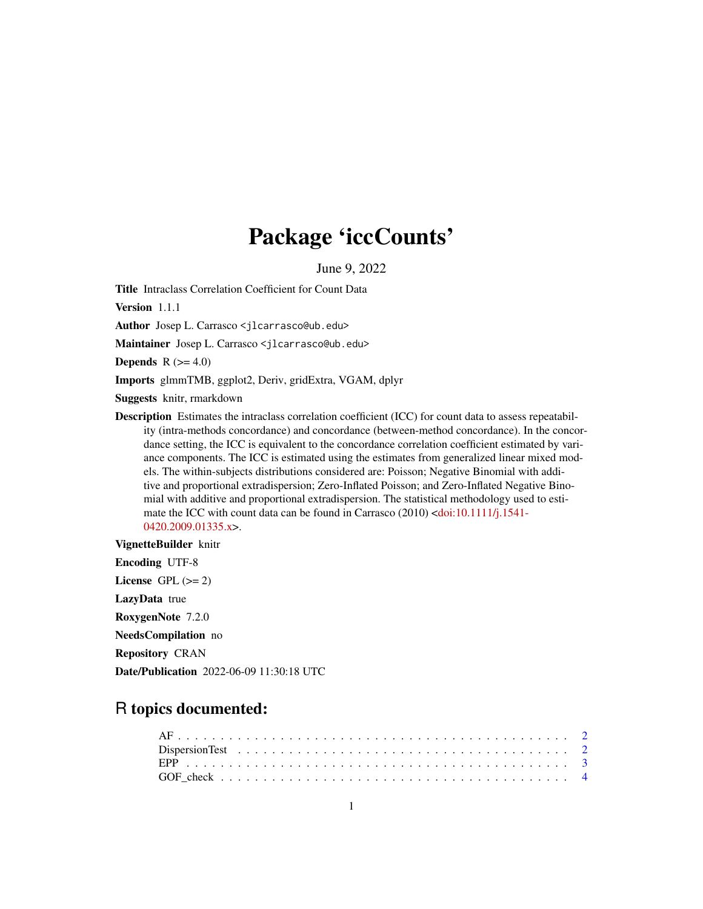## Package 'iccCounts'

June 9, 2022

Title Intraclass Correlation Coefficient for Count Data

Version 1.1.1

Author Josep L. Carrasco <jlcarrasco@ub.edu>

Maintainer Josep L. Carrasco <jlcarrasco@ub.edu>

Depends  $R$  ( $>= 4.0$ )

Imports glmmTMB, ggplot2, Deriv, gridExtra, VGAM, dplyr

Suggests knitr, rmarkdown

Description Estimates the intraclass correlation coefficient (ICC) for count data to assess repeatability (intra-methods concordance) and concordance (between-method concordance). In the concordance setting, the ICC is equivalent to the concordance correlation coefficient estimated by variance components. The ICC is estimated using the estimates from generalized linear mixed models. The within-subjects distributions considered are: Poisson; Negative Binomial with additive and proportional extradispersion; Zero-Inflated Poisson; and Zero-Inflated Negative Binomial with additive and proportional extradispersion. The statistical methodology used to estimate the ICC with count data can be found in Carrasco (2010) [<doi:10.1111/j.1541-](https://doi.org/10.1111/j.1541-0420.2009.01335.x) [0420.2009.01335.x>](https://doi.org/10.1111/j.1541-0420.2009.01335.x).

VignetteBuilder knitr

Encoding UTF-8 License GPL  $(>= 2)$ LazyData true RoxygenNote 7.2.0 NeedsCompilation no Repository CRAN Date/Publication 2022-06-09 11:30:18 UTC

### R topics documented: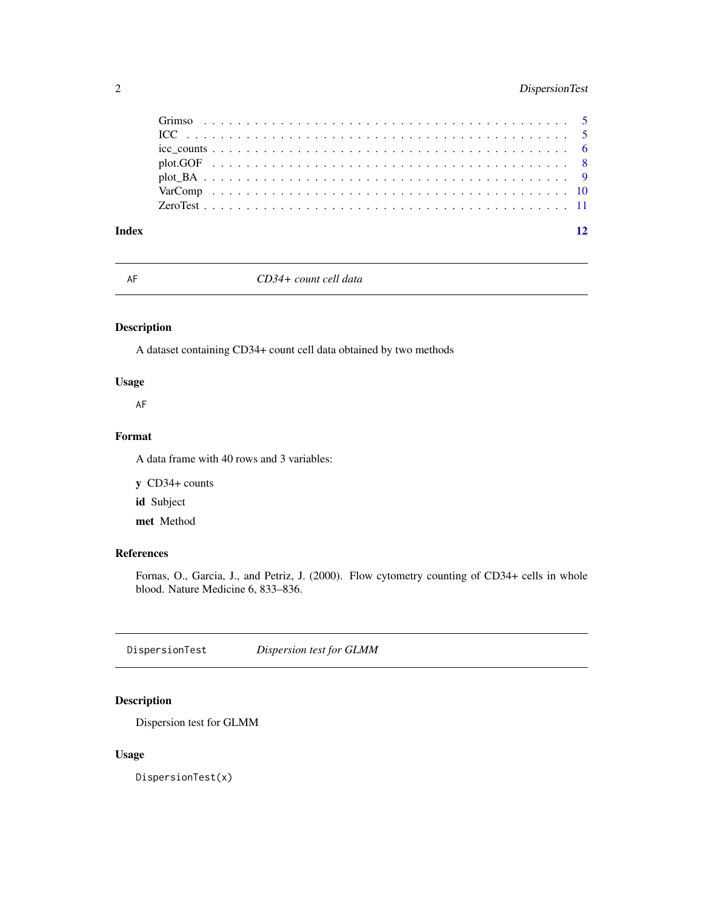#### <span id="page-1-0"></span>2 DispersionTest

| Index |  |  |  |  |  |  |  |  |  |  |  |  |  |  |  |  |  |  | 12 |
|-------|--|--|--|--|--|--|--|--|--|--|--|--|--|--|--|--|--|--|----|

AF *CD34+ count cell data*

#### Description

A dataset containing CD34+ count cell data obtained by two methods

#### Usage

AF

#### Format

A data frame with 40 rows and 3 variables:

y CD34+ counts

id Subject

met Method

#### References

Fornas, O., Garcia, J., and Petriz, J. (2000). Flow cytometry counting of CD34+ cells in whole blood. Nature Medicine 6, 833–836.

<span id="page-1-1"></span>DispersionTest *Dispersion test for GLMM*

#### Description

Dispersion test for GLMM

#### Usage

DispersionTest(x)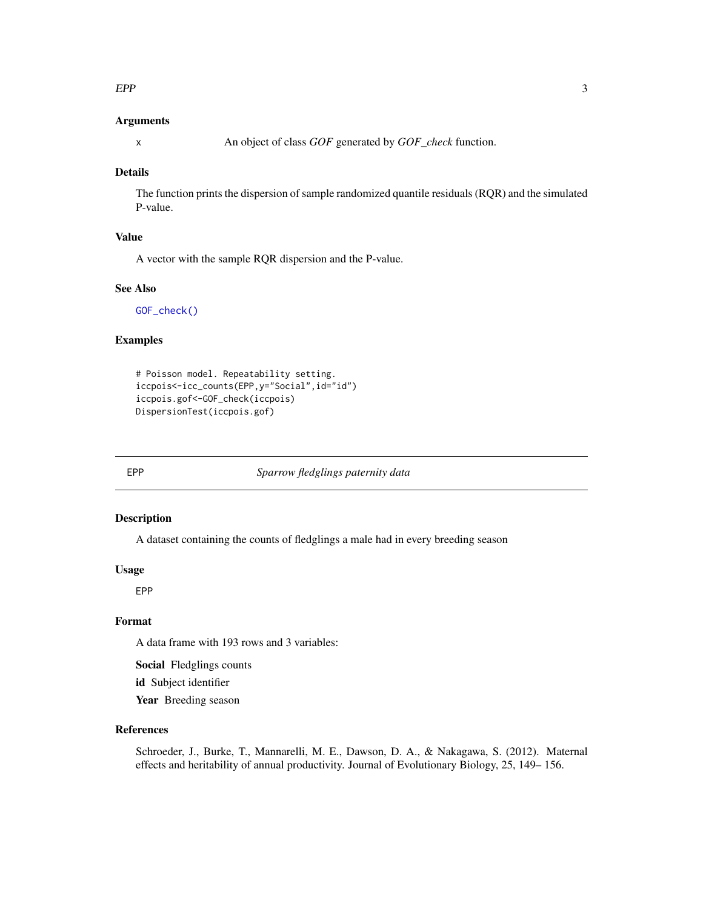#### <span id="page-2-0"></span> $EPP$  3

#### Arguments

x An object of class *GOF* generated by *GOF\_check* function.

#### Details

The function prints the dispersion of sample randomized quantile residuals (RQR) and the simulated P-value.

#### Value

A vector with the sample RQR dispersion and the P-value.

#### See Also

[GOF\\_check\(\)](#page-3-1)

#### Examples

```
# Poisson model. Repeatability setting.
iccpois<-icc_counts(EPP,y="Social",id="id")
iccpois.gof<-GOF_check(iccpois)
DispersionTest(iccpois.gof)
```
EPP *Sparrow fledglings paternity data*

#### Description

A dataset containing the counts of fledglings a male had in every breeding season

#### Usage

EPP

#### Format

A data frame with 193 rows and 3 variables:

Social Fledglings counts

id Subject identifier

Year Breeding season

#### References

Schroeder, J., Burke, T., Mannarelli, M. E., Dawson, D. A., & Nakagawa, S. (2012). Maternal effects and heritability of annual productivity. Journal of Evolutionary Biology, 25, 149– 156.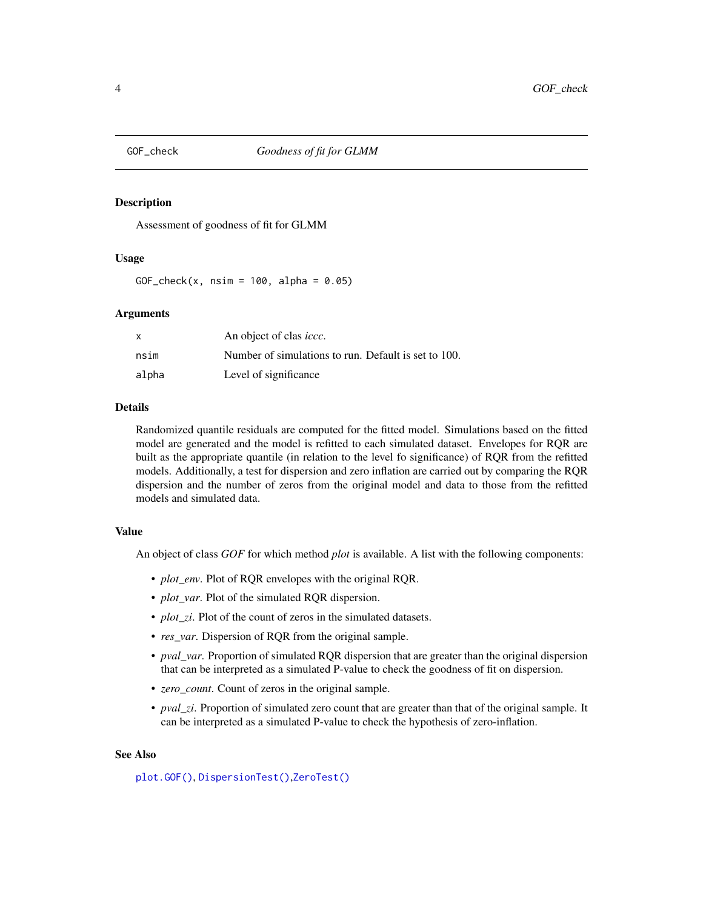<span id="page-3-1"></span><span id="page-3-0"></span>

#### Description

Assessment of goodness of fit for GLMM

#### Usage

GOF\_check(x,  $nsim = 100$ , alpha = 0.05)

#### Arguments

|       | An object of clas <i>iccc</i> .                      |
|-------|------------------------------------------------------|
| nsim  | Number of simulations to run. Default is set to 100. |
| alpha | Level of significance                                |

#### Details

Randomized quantile residuals are computed for the fitted model. Simulations based on the fitted model are generated and the model is refitted to each simulated dataset. Envelopes for RQR are built as the appropriate quantile (in relation to the level fo significance) of RQR from the refitted models. Additionally, a test for dispersion and zero inflation are carried out by comparing the RQR dispersion and the number of zeros from the original model and data to those from the refitted models and simulated data.

#### Value

An object of class *GOF* for which method *plot* is available. A list with the following components:

- *plot\_env*. Plot of RQR envelopes with the original RQR.
- *plot\_var*. Plot of the simulated RQR dispersion.
- *plot\_zi*. Plot of the count of zeros in the simulated datasets.
- *res\_var*. Dispersion of RQR from the original sample.
- *pval\_var*. Proportion of simulated RQR dispersion that are greater than the original dispersion that can be interpreted as a simulated P-value to check the goodness of fit on dispersion.
- *zero\_count*. Count of zeros in the original sample.
- *pval* zi. Proportion of simulated zero count that are greater than that of the original sample. It can be interpreted as a simulated P-value to check the hypothesis of zero-inflation.

#### See Also

[plot.GOF\(\)](#page-7-1), [DispersionTest\(\)](#page-1-1),[ZeroTest\(\)](#page-10-1)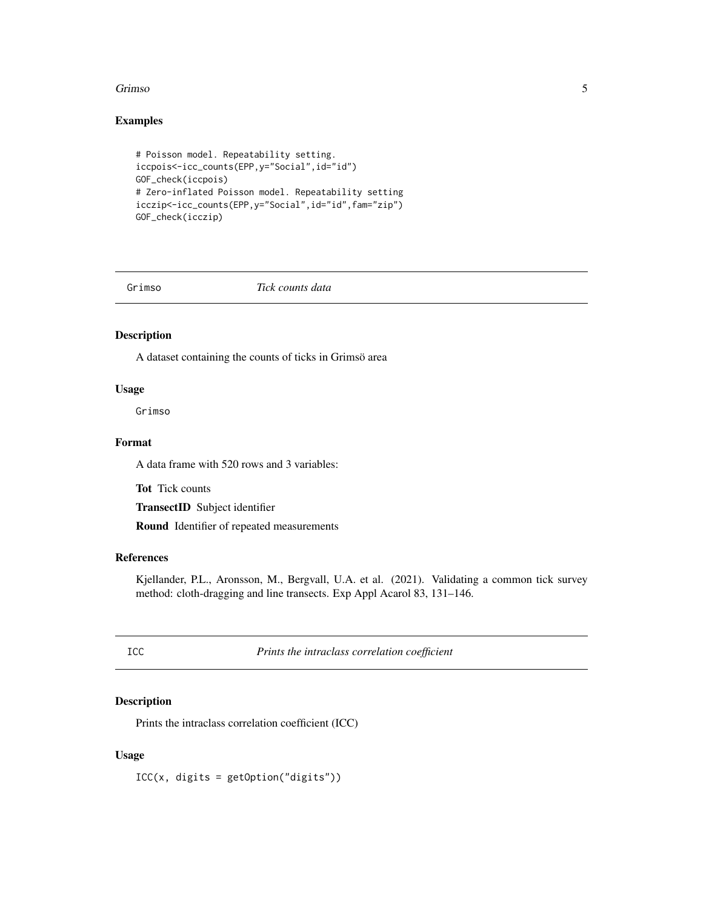#### <span id="page-4-0"></span>Grimso 5

#### Examples

```
# Poisson model. Repeatability setting.
iccpois<-icc_counts(EPP,y="Social",id="id")
GOF_check(iccpois)
# Zero-inflated Poisson model. Repeatability setting
icczip<-icc_counts(EPP,y="Social",id="id",fam="zip")
GOF_check(icczip)
```
Grimso *Tick counts data*

#### Description

A dataset containing the counts of ticks in Grimsö area

#### Usage

Grimso

#### Format

A data frame with 520 rows and 3 variables:

Tot Tick counts

TransectID Subject identifier

Round Identifier of repeated measurements

#### References

Kjellander, P.L., Aronsson, M., Bergvall, U.A. et al. (2021). Validating a common tick survey method: cloth-dragging and line transects. Exp Appl Acarol 83, 131–146.

ICC *Prints the intraclass correlation coefficient*

#### Description

Prints the intraclass correlation coefficient (ICC)

#### Usage

 $ICC(x, digits = getOption("digits"))$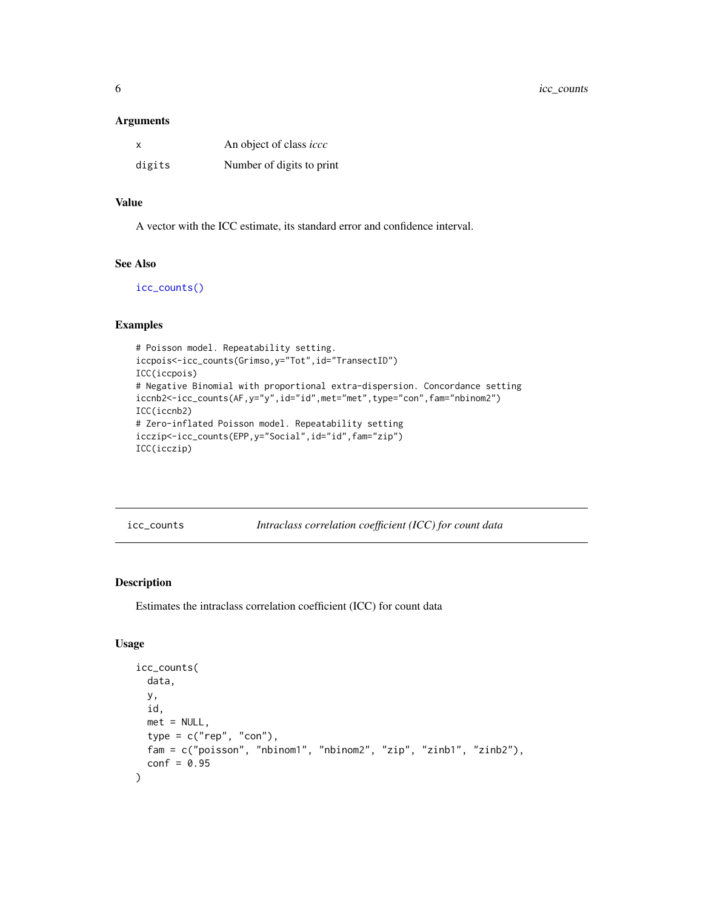<span id="page-5-0"></span>6 icc\_counts

#### Arguments

| x      | An object of class <i>iccc</i> |
|--------|--------------------------------|
| digits | Number of digits to print      |

#### Value

A vector with the ICC estimate, its standard error and confidence interval.

#### See Also

[icc\\_counts\(\)](#page-5-1)

#### Examples

```
# Poisson model. Repeatability setting.
iccpois<-icc_counts(Grimso,y="Tot",id="TransectID")
ICC(iccpois)
# Negative Binomial with proportional extra-dispersion. Concordance setting
iccnb2<-icc_counts(AF,y="y",id="id",met="met",type="con",fam="nbinom2")
ICC(iccnb2)
# Zero-inflated Poisson model. Repeatability setting
icczip<-icc_counts(EPP,y="Social",id="id",fam="zip")
ICC(icczip)
```
<span id="page-5-1"></span>icc\_counts *Intraclass correlation coefficient (ICC) for count data*

#### Description

Estimates the intraclass correlation coefficient (ICC) for count data

#### Usage

```
icc_counts(
 data,
 y,
 id,
 met = NULL,type = c("rep", "con"),
 fam = c("poisson", "nbinom1", "nbinom2", "zip", "zinb1", "zinb2"),
 conf = 0.95)
```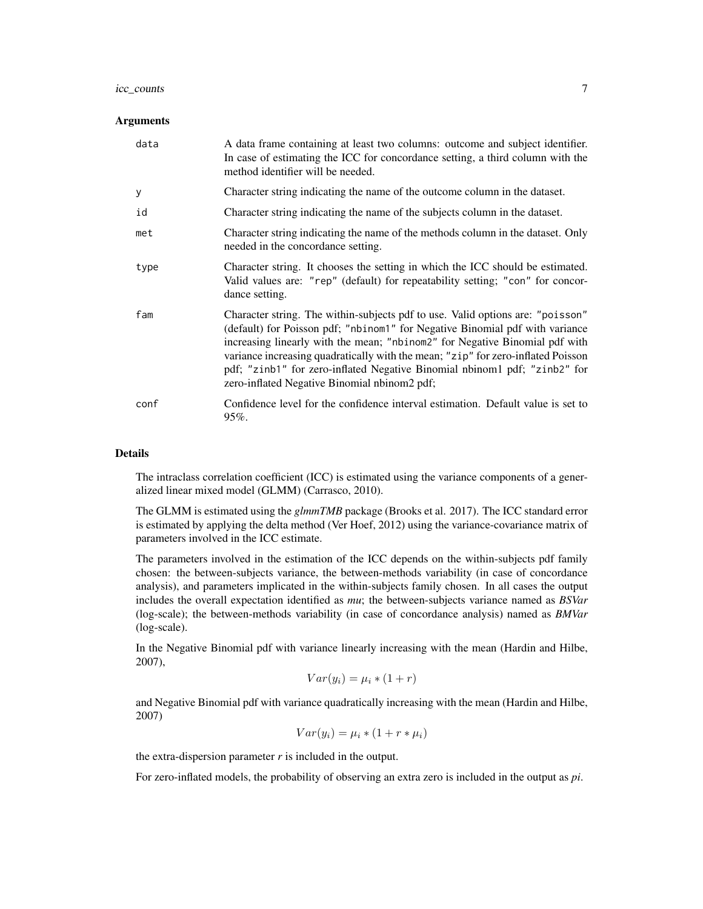#### icc\_counts 7

#### **Arguments**

| data | A data frame containing at least two columns: outcome and subject identifier.<br>In case of estimating the ICC for concordance setting, a third column with the<br>method identifier will be needed.                                                                                                                                                                                                                                                           |
|------|----------------------------------------------------------------------------------------------------------------------------------------------------------------------------------------------------------------------------------------------------------------------------------------------------------------------------------------------------------------------------------------------------------------------------------------------------------------|
| у    | Character string indicating the name of the outcome column in the dataset.                                                                                                                                                                                                                                                                                                                                                                                     |
| id   | Character string indicating the name of the subjects column in the dataset.                                                                                                                                                                                                                                                                                                                                                                                    |
| met  | Character string indicating the name of the methods column in the dataset. Only<br>needed in the concordance setting.                                                                                                                                                                                                                                                                                                                                          |
| type | Character string. It chooses the setting in which the ICC should be estimated.<br>Valid values are: "rep" (default) for repeatability setting; "con" for concor-<br>dance setting.                                                                                                                                                                                                                                                                             |
| fam  | Character string. The within-subjects pdf to use. Valid options are: "poisson"<br>(default) for Poisson pdf; "nbinom1" for Negative Binomial pdf with variance<br>increasing linearly with the mean; "nbinom2" for Negative Binomial pdf with<br>variance increasing quadratically with the mean; "zip" for zero-inflated Poisson<br>pdf; "zinb1" for zero-inflated Negative Binomial nbinom1 pdf; "zinb2" for<br>zero-inflated Negative Binomial nbinom2 pdf; |
| conf | Confidence level for the confidence interval estimation. Default value is set to<br>$95\%$ .                                                                                                                                                                                                                                                                                                                                                                   |

#### Details

The intraclass correlation coefficient (ICC) is estimated using the variance components of a generalized linear mixed model (GLMM) (Carrasco, 2010).

The GLMM is estimated using the *glmmTMB* package (Brooks et al. 2017). The ICC standard error is estimated by applying the delta method (Ver Hoef, 2012) using the variance-covariance matrix of parameters involved in the ICC estimate.

The parameters involved in the estimation of the ICC depends on the within-subjects pdf family chosen: the between-subjects variance, the between-methods variability (in case of concordance analysis), and parameters implicated in the within-subjects family chosen. In all cases the output includes the overall expectation identified as *mu*; the between-subjects variance named as *BSVar* (log-scale); the between-methods variability (in case of concordance analysis) named as *BMVar* (log-scale).

In the Negative Binomial pdf with variance linearly increasing with the mean (Hardin and Hilbe, 2007),

$$
Var(y_i) = \mu_i * (1+r)
$$

and Negative Binomial pdf with variance quadratically increasing with the mean (Hardin and Hilbe, 2007)

$$
Var(y_i) = \mu_i * (1 + r * \mu_i)
$$

the extra-dispersion parameter  $r$  is included in the output.

For zero-inflated models, the probability of observing an extra zero is included in the output as *pi*.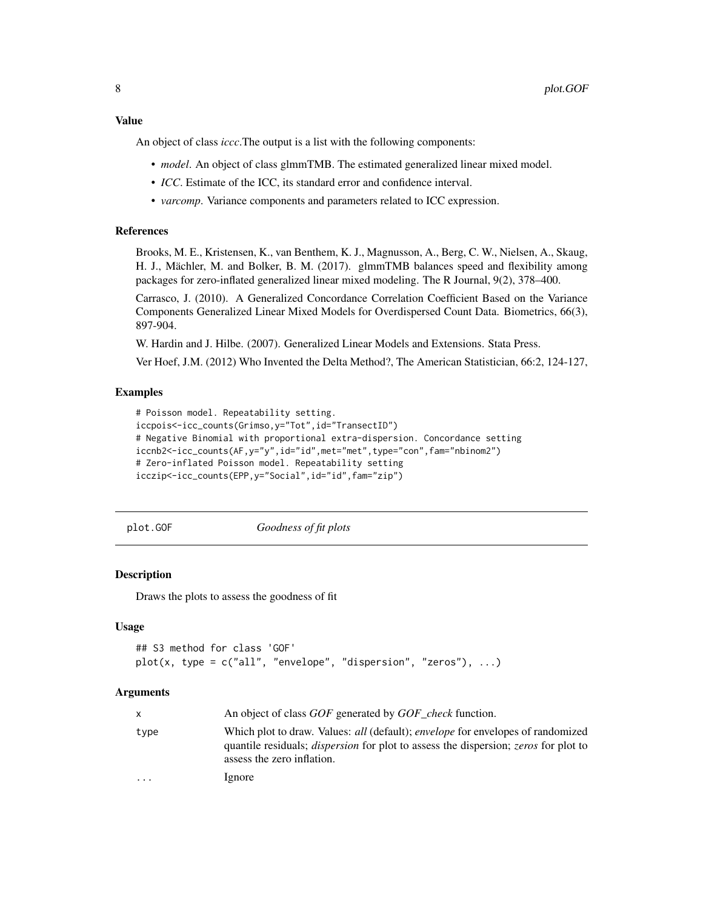<span id="page-7-0"></span>An object of class *iccc*.The output is a list with the following components:

- *model*. An object of class glmmTMB. The estimated generalized linear mixed model.
- *ICC*. Estimate of the ICC, its standard error and confidence interval.
- *varcomp*. Variance components and parameters related to ICC expression.

#### References

Brooks, M. E., Kristensen, K., van Benthem, K. J., Magnusson, A., Berg, C. W., Nielsen, A., Skaug, H. J., Mächler, M. and Bolker, B. M. (2017). glmmTMB balances speed and flexibility among packages for zero-inflated generalized linear mixed modeling. The R Journal, 9(2), 378–400.

Carrasco, J. (2010). A Generalized Concordance Correlation Coefficient Based on the Variance Components Generalized Linear Mixed Models for Overdispersed Count Data. Biometrics, 66(3), 897-904.

W. Hardin and J. Hilbe. (2007). Generalized Linear Models and Extensions. Stata Press.

Ver Hoef, J.M. (2012) Who Invented the Delta Method?, The American Statistician, 66:2, 124-127,

#### Examples

```
# Poisson model. Repeatability setting.
iccpois<-icc_counts(Grimso,y="Tot",id="TransectID")
# Negative Binomial with proportional extra-dispersion. Concordance setting
iccnb2<-icc_counts(AF,y="y",id="id",met="met",type="con",fam="nbinom2")
# Zero-inflated Poisson model. Repeatability setting
icczip<-icc_counts(EPP,y="Social",id="id",fam="zip")
```
<span id="page-7-1"></span>plot.GOF *Goodness of fit plots*

#### Description

Draws the plots to assess the goodness of fit

#### Usage

```
## S3 method for class 'GOF'
plot(x, type = c("all", "envelope", "dispersion", "zeros"), ...)
```
#### **Arguments**

| $\mathsf{x}$            | An object of class GOF generated by GOF check function.                                                                                                                                                                          |
|-------------------------|----------------------------------------------------------------------------------------------------------------------------------------------------------------------------------------------------------------------------------|
| type                    | Which plot to draw. Values: <i>all</i> (default); <i>envelope</i> for envelopes of randomized<br>quantile residuals; <i>dispersion</i> for plot to assess the dispersion; <i>zeros</i> for plot to<br>assess the zero inflation. |
| $\cdot$ $\cdot$ $\cdot$ | lgnore                                                                                                                                                                                                                           |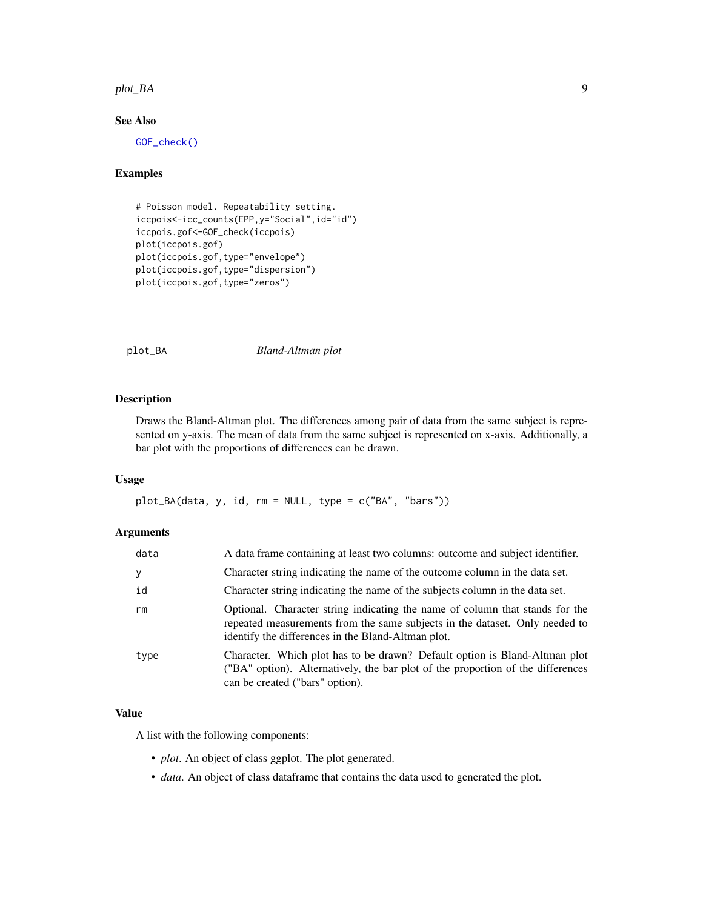#### <span id="page-8-0"></span>plot\_BA 9

#### See Also

[GOF\\_check\(\)](#page-3-1)

#### Examples

```
# Poisson model. Repeatability setting.
iccpois<-icc_counts(EPP,y="Social",id="id")
iccpois.gof<-GOF_check(iccpois)
plot(iccpois.gof)
plot(iccpois.gof,type="envelope")
plot(iccpois.gof,type="dispersion")
plot(iccpois.gof,type="zeros")
```
plot\_BA *Bland-Altman plot*

#### Description

Draws the Bland-Altman plot. The differences among pair of data from the same subject is represented on y-axis. The mean of data from the same subject is represented on x-axis. Additionally, a bar plot with the proportions of differences can be drawn.

#### Usage

plot\_BA(data, y, id, rm = NULL, type = c("BA", "bars"))

#### Arguments

| data | A data frame containing at least two columns: outcome and subject identifier.                                                                                                                                     |
|------|-------------------------------------------------------------------------------------------------------------------------------------------------------------------------------------------------------------------|
| У    | Character string indicating the name of the outcome column in the data set.                                                                                                                                       |
| id   | Character string indicating the name of the subjects column in the data set.                                                                                                                                      |
| rm   | Optional. Character string indicating the name of column that stands for the<br>repeated measurements from the same subjects in the dataset. Only needed to<br>identify the differences in the Bland-Altman plot. |
| type | Character. Which plot has to be drawn? Default option is Bland-Altman plot<br>("BA" option). Alternatively, the bar plot of the proportion of the differences<br>can be created ("bars" option).                  |

#### Value

A list with the following components:

- *plot*. An object of class ggplot. The plot generated.
- *data*. An object of class dataframe that contains the data used to generated the plot.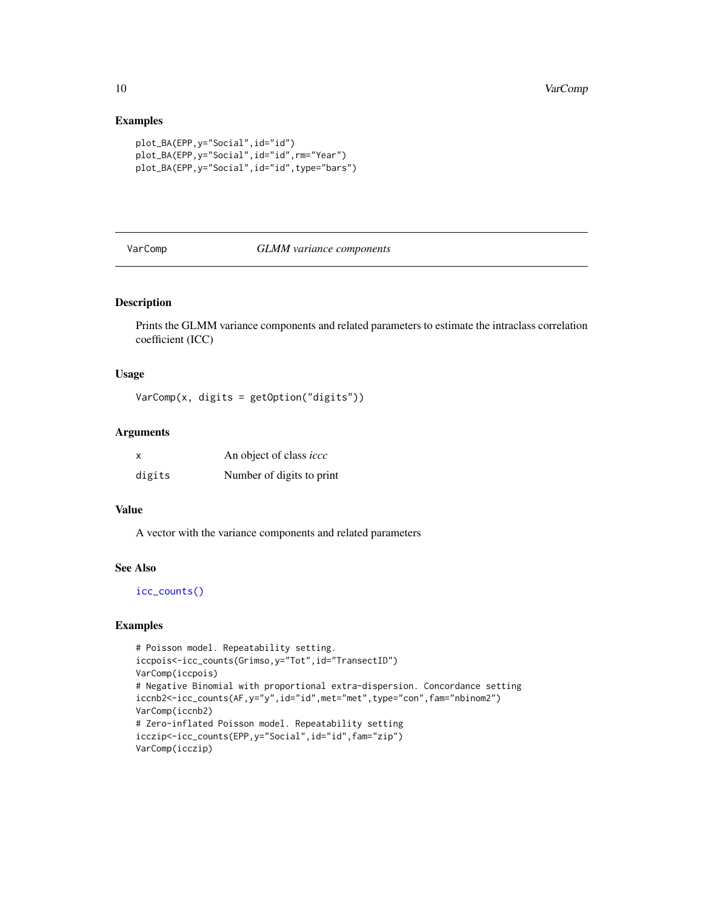#### Examples

```
plot_BA(EPP,y="Social",id="id")
plot_BA(EPP,y="Social",id="id",rm="Year")
plot_BA(EPP,y="Social",id="id",type="bars")
```
#### VarComp *GLMM variance components*

#### Description

Prints the GLMM variance components and related parameters to estimate the intraclass correlation coefficient (ICC)

#### Usage

VarComp(x, digits = getOption("digits"))

#### Arguments

| X      | An object of class <i>iccc</i> |
|--------|--------------------------------|
| digits | Number of digits to print      |

#### Value

A vector with the variance components and related parameters

#### See Also

[icc\\_counts\(\)](#page-5-1)

#### Examples

```
# Poisson model. Repeatability setting.
iccpois<-icc_counts(Grimso,y="Tot",id="TransectID")
VarComp(iccpois)
# Negative Binomial with proportional extra-dispersion. Concordance setting
iccnb2<-icc_counts(AF,y="y",id="id",met="met",type="con",fam="nbinom2")
VarComp(iccnb2)
# Zero-inflated Poisson model. Repeatability setting
icczip<-icc_counts(EPP,y="Social",id="id",fam="zip")
VarComp(icczip)
```
<span id="page-9-0"></span>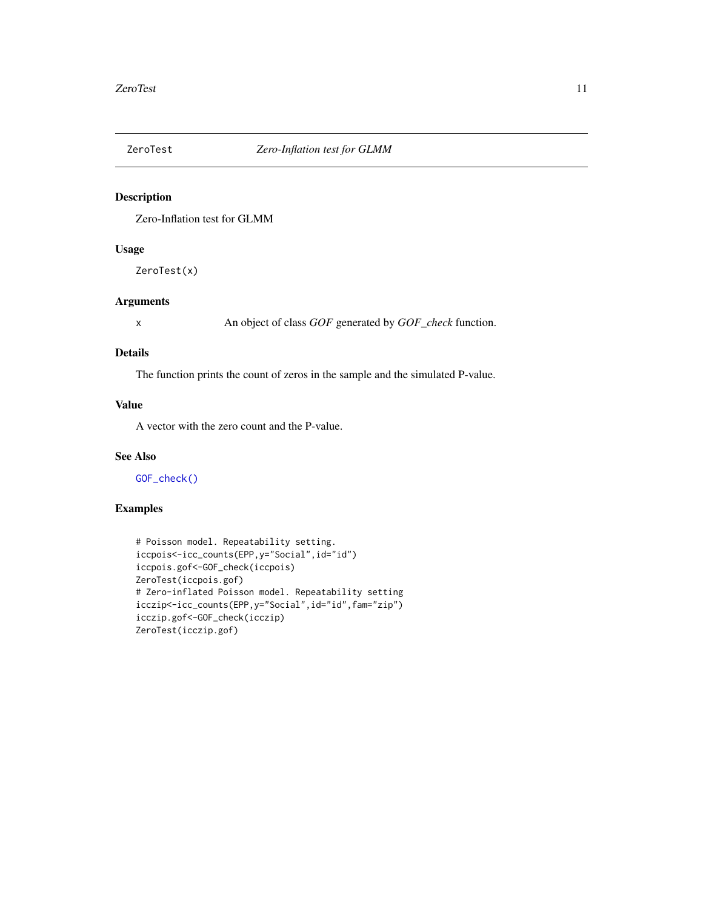<span id="page-10-1"></span><span id="page-10-0"></span>

#### Description

Zero-Inflation test for GLMM

#### Usage

ZeroTest(x)

#### Arguments

x An object of class *GOF* generated by *GOF\_check* function.

#### Details

The function prints the count of zeros in the sample and the simulated P-value.

#### Value

A vector with the zero count and the P-value.

#### See Also

[GOF\\_check\(\)](#page-3-1)

#### Examples

```
# Poisson model. Repeatability setting.
iccpois<-icc_counts(EPP,y="Social",id="id")
iccpois.gof<-GOF_check(iccpois)
ZeroTest(iccpois.gof)
# Zero-inflated Poisson model. Repeatability setting
icczip<-icc_counts(EPP,y="Social",id="id",fam="zip")
icczip.gof<-GOF_check(icczip)
ZeroTest(icczip.gof)
```